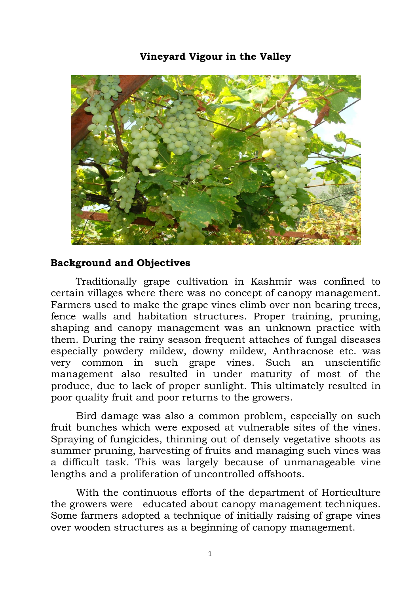## **Vineyard Vigour in the Valley**



## **Background and Objectives**

Traditionally grape cultivation in Kashmir was confined to certain villages where there was no concept of canopy management. Farmers used to make the grape vines climb over non bearing trees, fence walls and habitation structures. Proper training, pruning, shaping and canopy management was an unknown practice with them. During the rainy season frequent attaches of fungal diseases especially powdery mildew, downy mildew, Anthracnose etc. was very common in such grape vines. Such an unscientific management also resulted in under maturity of most of the produce, due to lack of proper sunlight. This ultimately resulted in poor quality fruit and poor returns to the growers.

Bird damage was also a common problem, especially on such fruit bunches which were exposed at vulnerable sites of the vines. Spraying of fungicides, thinning out of densely vegetative shoots as summer pruning, harvesting of fruits and managing such vines was a difficult task. This was largely because of unmanageable vine lengths and a proliferation of uncontrolled offshoots.

With the continuous efforts of the department of Horticulture the growers were educated about canopy management techniques. Some farmers adopted a technique of initially raising of grape vines over wooden structures as a beginning of canopy management.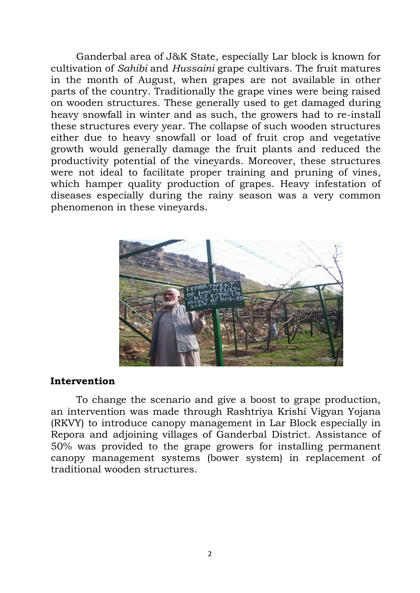Ganderbal area of J&K State, especially Lar block is known for cultivation of *Sahibi* and *Hussaini* grape cultivars. The fruit matures in the month of August, when grapes are not available in other parts of the country. Traditionally the grape vines were being raised on wooden structures. These generally used to get damaged during heavy snowfall in winter and as such, the growers had to re-install these structures every year. The collapse of such wooden structures either due to heavy snowfall or load of fruit crop and vegetative growth would generally damage the fruit plants and reduced the productivity potential of the vineyards. Moreover, these structures were not ideal to facilitate proper training and pruning of vines, which hamper quality production of grapes. Heavy infestation of diseases especially during the rainy season was a very common phenomenon in these vineyards.



## **Intervention**

To change the scenario and give a boost to grape production, an intervention was made through Rashtriya Krishi Vigyan Yojana (RKVY) to introduce canopy management in Lar Block especially in Repora and adjoining villages of Ganderbal District. Assistance of 50% was provided to the grape growers for installing permanent canopy management systems (bower system) in replacement of traditional wooden structures.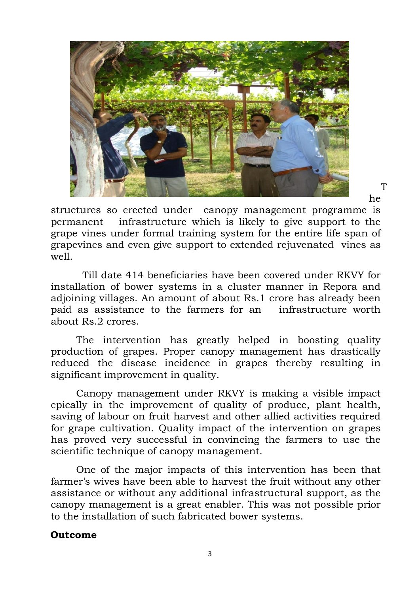

T he

structures so erected under canopy management programme is permanent infrastructure which is likely to give support to the grape vines under formal training system for the entire life span of grapevines and even give support to extended rejuvenated vines as well.

 Till date 414 beneficiaries have been covered under RKVY for installation of bower systems in a cluster manner in Repora and adjoining villages. An amount of about Rs.1 crore has already been paid as assistance to the farmers for an infrastructure worth about Rs.2 crores.

The intervention has greatly helped in boosting quality production of grapes. Proper canopy management has drastically reduced the disease incidence in grapes thereby resulting in significant improvement in quality.

Canopy management under RKVY is making a visible impact epically in the improvement of quality of produce, plant health, saving of labour on fruit harvest and other allied activities required for grape cultivation. Quality impact of the intervention on grapes has proved very successful in convincing the farmers to use the scientific technique of canopy management.

One of the major impacts of this intervention has been that farmer's wives have been able to harvest the fruit without any other assistance or without any additional infrastructural support, as the canopy management is a great enabler. This was not possible prior to the installation of such fabricated bower systems.

## **Outcome**